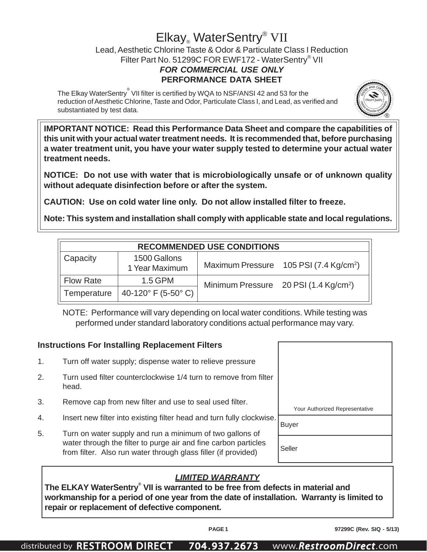## Elkay<sub>®</sub> WaterSentry<sup>®</sup> VII

Lead, Aesthetic Chlorine Taste & Odor & Particulate Class I Reduction Filter Part No. 51299C FOR EWF172 - WaterSentry® VII *FOR COMMERCIAL USE ONLY* **PERFORMANCE DATA SHEET**

The Elkay WaterSentry $^\circ$  VII filter is certified by WQA to NSF/ANSI 42 and 53 for the reduction of Aesthetic Chlorine, Taste and Odor, Particulate Class I, and Lead, as verified and substantiated by test data.



**IMPORTANT NOTICE: Read this Performance Data Sheet and compare the capabilities of this unit with your actual water treatment needs. It is recommended that, before purchasing a water treatment unit, you have your water supply tested to determine your actual water treatment needs.**

**NOTICE: Do not use with water that is microbiologically unsafe or of unknown quality without adequate disinfection before or after the system.**

**CAUTION: Use on cold water line only. Do not allow installed filter to freeze.**

**Note: This system and installation shall comply with applicable state and local regulations.**

| <b>RECOMMENDED USE CONDITIONS</b>          |                                       |  |                                                    |  |  |  |  |
|--------------------------------------------|---------------------------------------|--|----------------------------------------------------|--|--|--|--|
| Capacity<br>1500 Gallons<br>1 Year Maximum |                                       |  | Maximum Pressure 105 PSI (7.4 Kg/cm <sup>2</sup> ) |  |  |  |  |
| <b>Flow Rate</b>                           | $1.5$ GPM                             |  | Minimum Pressure 20 PSI (1.4 Kg/cm <sup>2</sup> )  |  |  |  |  |
| Temperature                                | 40-120 $\degree$ F (5-50 $\degree$ C) |  |                                                    |  |  |  |  |

NOTE: Performance will vary depending on local water conditions. While testing was performed under standard laboratory conditions actual performance may vary.

## **Instructions For Installing Replacement Filters** 1. Turn off water supply; dispense water to relieve pressure 2. Turn used filter counterclockwise 1/4 turn to remove from filter head. 3. Remove cap from new filter and use to seal used filter. 4. Insert new filter into existing filter head and turn fully clockwise. 5. Turn on water supply and run a minimum of two gallons of water through the filter to purge air and fine carbon particles from filter. Also run water through glass filler (if provided) Your Authorized Representative Buyer Seller

## *LIMITED WARRANTY*

**The ELKAY WaterSentry® VII is warranted to be free from defects in material and workmanship for a period of one year from the date of installation. Warranty is limited to repair or replacement of defective component.**